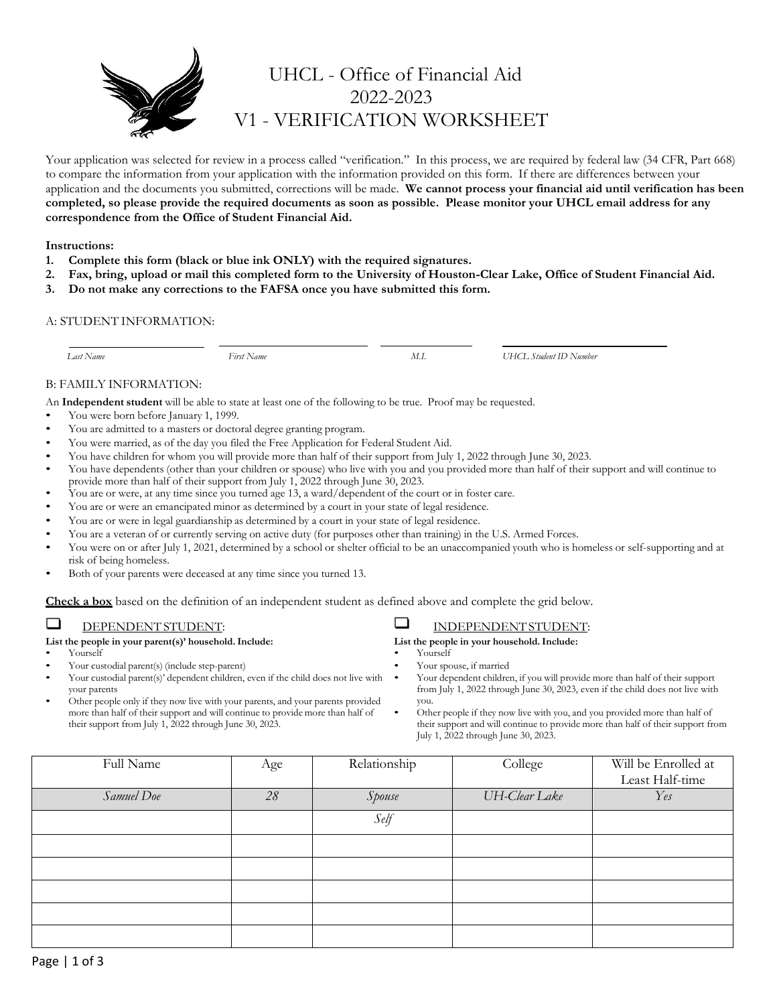

# UHCL - Office of Financial Aid 2022-2023 V1 - VERIFICATION WORKSHEET

Your application was selected for review in a process called "verification." In this process, we are required by federal law (34 CFR, Part 668) to compare the information from your application with the information provided on this form. If there are differences between your application and the documents you submitted, corrections will be made. **We cannot process your financial aid until verification has been completed, so please provide the required documents as soon as possible. Please monitor your UHCL email address for any correspondence from the Office of Student Financial Aid.**

### **Instructions:**

- **1. Complete this form (black or blue ink ONLY) with the required signatures.**
- **2. Fax, bring, upload or mail this completed form to the University of Houston-Clear Lake, Office of Student Financial Aid.**
- **3. Do not make any corrections to the FAFSA once you have submitted this form.**

### A: STUDENT INFORMATION:

 *Last Name First Name M.I. UHCL Student ID Number*

### B: FAMILY INFORMATION:

An **Independent student** will be able to state at least one of the following to be true. Proof may be requested.

- You were born before January 1, 1999.
- You are admitted to a masters or doctoral degree granting program.
- You were married, as of the day you filed the Free Application for Federal Student Aid.
- You have children for whom you will provide more than half of their support from July 1, 2022 through June 30, 2023.
- You have dependents (other than your children or spouse) who live with you and you provided more than half of their support and will continue to provide more than half of their support from July 1, 2022 through June 30, 2023.
- You are or were, at any time since you turned age 13, a ward/dependent of the court or in foster care.
- You are or were an emancipated minor as determined by a court in your state of legal residence.
- You are or were in legal guardianship as determined by a court in your state of legal residence.
- You are a veteran of or currently serving on active duty (for purposes other than training) in the U.S. Armed Forces.
- You were on or after July 1, 2021, determined by a school or shelter official to be an unaccompanied youth who is homeless or self-supporting and at risk of being homeless.
- Both of your parents were deceased at any time since you turned 13.

**Check a box** based on the definition of an independent student as defined above and complete the grid below.

#### □ DEPENDENT STUDENT:

### **List the people in your parent(s)' household.Include:**

- Yourself
- Your custodial parent(s) (include step-parent)
- Your custodial parent(s)' dependent children, even if the child does not live with your parents
- Other people only if they now live with your parents, and your parents provided more than half of their support and will continue to provide more than half of their support from July 1, 2022 through June 30, 2023.

#### $\Box$ INDEPENDENT STUDENT:

**List the people in your household.Include:**

- Yourself
- Your spouse, if married
- Your dependent children, if you will provide more than half of their support from July 1, 2022 through June 30, 2023, even if the child does not live with you.
- Other people if they now live with you, and you provided more than half of their support and will continue to provide more than half of their support from July 1, 2022 through June 30, 2023.

| Full Name  | Age | Relationship | College       | Will be Enrolled at |
|------------|-----|--------------|---------------|---------------------|
|            |     |              |               | Least Half-time     |
| Samuel Doe | 28  | Spouse       | UH-Clear Lake | Yes                 |
|            |     | Self         |               |                     |
|            |     |              |               |                     |
|            |     |              |               |                     |
|            |     |              |               |                     |
|            |     |              |               |                     |
|            |     |              |               |                     |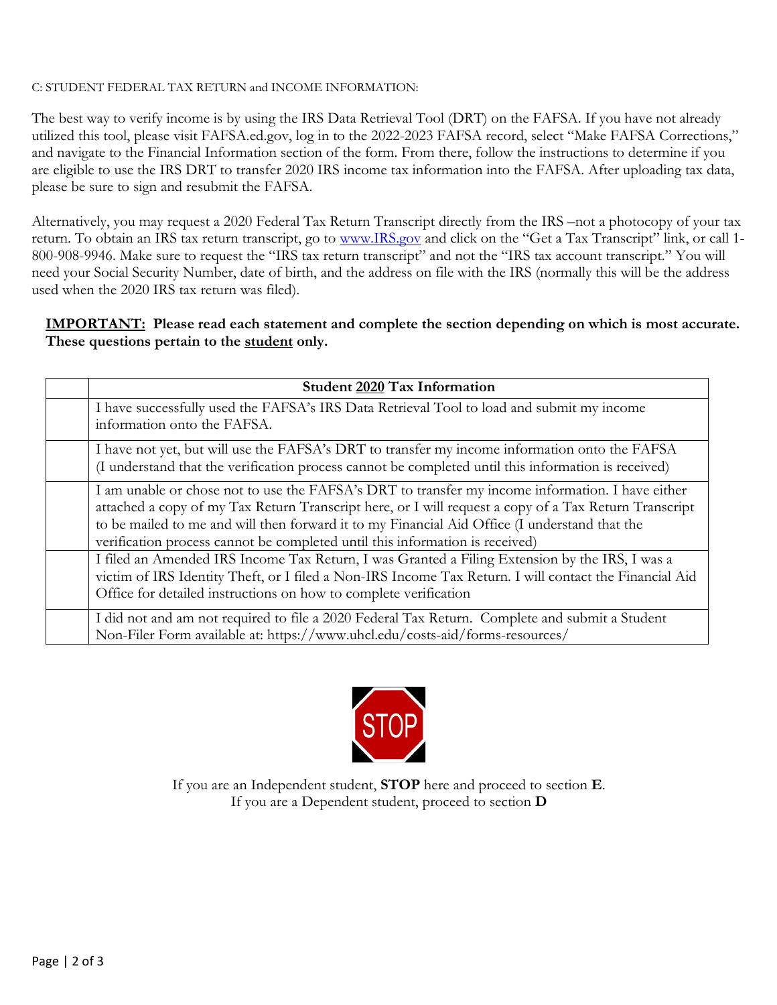# C: STUDENT FEDERAL TAX RETURN and INCOME INFORMATION:

The best way to verify income is by using the IRS Data Retrieval Tool (DRT) on the FAFSA. If you have not already utilized this tool, please visit FAFSA.ed.gov, log in to the 2022-2023 FAFSA record, select "Make FAFSA Corrections," and navigate to the Financial Information section of the form. From there, follow the instructions to determine if you are eligible to use the IRS DRT to transfer 2020 IRS income tax information into the FAFSA. After uploading tax data, please be sure to sign and resubmit the FAFSA.

Alternatively, you may request a 2020 Federal Tax Return Transcript directly from the IRS –not a photocopy of your tax return. To obtain an IRS tax return transcript, go to [www.IRS.gov](http://www.irs.gov/) and click on the "Get a Tax Transcript" link, or call 1- 800-908-9946. Make sure to request the "IRS tax return transcript" and not the "IRS tax account transcript." You will need your Social Security Number, date of birth, and the address on file with the IRS (normally this will be the address used when the 2020 IRS tax return was filed).

# **IMPORTANT: Please read each statement and complete the section depending on which is most accurate. These questions pertain to the student only.**

| <b>Student 2020 Tax Information</b>                                                                                                                                                                                                                                                                                                                                                        |
|--------------------------------------------------------------------------------------------------------------------------------------------------------------------------------------------------------------------------------------------------------------------------------------------------------------------------------------------------------------------------------------------|
| I have successfully used the FAFSA's IRS Data Retrieval Tool to load and submit my income<br>information onto the FAFSA.                                                                                                                                                                                                                                                                   |
| I have not yet, but will use the FAFSA's DRT to transfer my income information onto the FAFSA<br>(I understand that the verification process cannot be completed until this information is received)                                                                                                                                                                                       |
| I am unable or chose not to use the FAFSA's DRT to transfer my income information. I have either<br>attached a copy of my Tax Return Transcript here, or I will request a copy of a Tax Return Transcript<br>to be mailed to me and will then forward it to my Financial Aid Office (I understand that the<br>verification process cannot be completed until this information is received) |
| I filed an Amended IRS Income Tax Return, I was Granted a Filing Extension by the IRS, I was a<br>victim of IRS Identity Theft, or I filed a Non-IRS Income Tax Return. I will contact the Financial Aid<br>Office for detailed instructions on how to complete verification                                                                                                               |
| I did not and am not required to file a 2020 Federal Tax Return. Complete and submit a Student<br>Non-Filer Form available at: https://www.uhcl.edu/costs-aid/forms-resources/                                                                                                                                                                                                             |



If you are an Independent student, **STOP** here and proceed to section **E**. If you are a Dependent student, proceed to section **D**